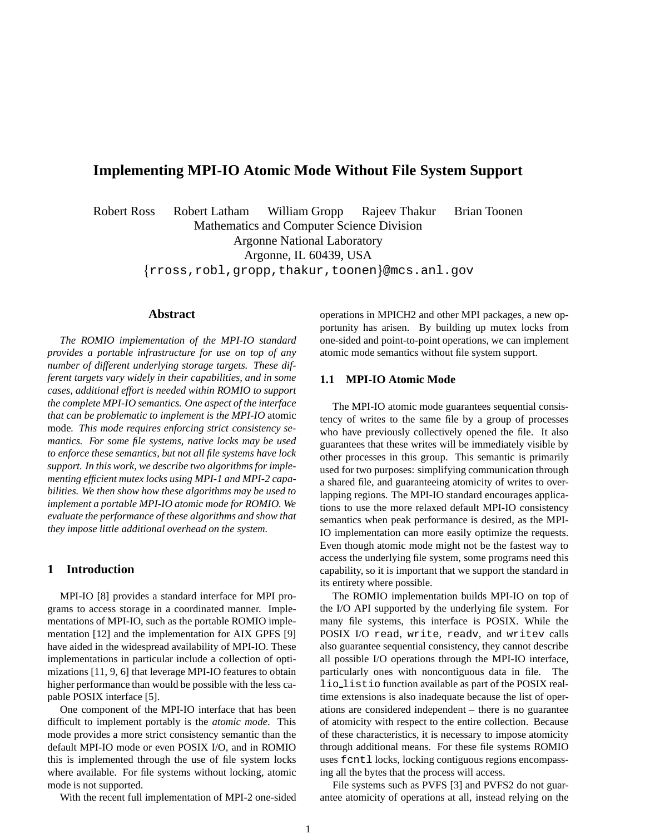# **Implementing MPI-IO Atomic Mode Without File System Support**

Robert Ross Robert Latham William Gropp Rajeev Thakur Brian Toonen Mathematics and Computer Science Division

Argonne National Laboratory

Argonne, IL 60439, USA

 $\{r \text{ross}, \text{robl}, \text{group}, \text{thakur}, \text{toonen}\}$ @m $\text{cs.} \text{anl}. \text{gov}$ 

#### **Abstract**

*The ROMIO implementation of the MPI-IO standard provides a portable infrastructure for use on top of any number of different underlying storage targets. These different targets vary widely in their capabilities, and in some cases, additional effort is needed within ROMIO to support the complete MPI-IO semantics. One aspect of the interface that can be problematic to implement is the MPI-IO* atomic mode*. This mode requires enforcing strict consistency semantics. For some file systems, native locks may be used to enforce these semantics, but not all file systems have lock support. In this work, we describe two algorithmsfor implementing efficient mutex locks using MPI-1 and MPI-2 capabilities. We then show how these algorithms may be used to implement a portable MPI-IO atomic mode for ROMIO. We evaluate the performance of these algorithms and show that they impose little additional overhead on the system.*

### **1 Introduction**

MPI-IO [8] provides a standard interface for MPI programs to access storage in a coordinated manner. Implementations of MPI-IO, such as the portable ROMIO implementation [12] and the implementation for AIX GPFS [9] have aided in the widespread availability of MPI-IO. These implementations in particular include a collection of optimizations [11, 9, 6] that leverage MPI-IO features to obtain higher performance than would be possible with the less capable POSIX interface [5].

One component of the MPI-IO interface that has been difficult to implement portably is the *atomic mode*. This mode provides a more strict consistency semantic than the default MPI-IO mode or even POSIX I/O, and in ROMIO this is implemented through the use of file system locks where available. For file systems without locking, atomic mode is not supported.

With the recent full implementation of MPI-2 one-sided

operations in MPICH2 and other MPI packages, a new opportunity has arisen. By building up mutex locks from one-sided and point-to-point operations, we can implement atomic mode semantics without file system support.

#### **1.1 MPI-IO Atomic Mode**

The MPI-IO atomic mode guarantees sequential consistency of writes to the same file by a group of processes who have previously collectively opened the file. It also guarantees that these writes will be immediately visible by other processes in this group. This semantic is primarily used for two purposes: simplifying communication through a shared file, and guaranteeing atomicity of writes to overlapping regions. The MPI-IO standard encourages applications to use the more relaxed default MPI-IO consistency semantics when peak performance is desired, as the MPI-IO implementation can more easily optimize the requests. Even though atomic mode might not be the fastest way to access the underlying file system, some programs need this capability, so it is important that we support the standard in its entirety where possible.

The ROMIO implementation builds MPI-IO on top of the I/O API supported by the underlying file system. For many file systems, this interface is POSIX. While the POSIX I/O read, write, readv, and writev calls also guarantee sequential consistency, they cannot describe all possible I/O operations through the MPI-IO interface, particularly ones with noncontiguous data in file. The lio listio function available as part of the POSIX realtime extensions is also inadequate because the list of operations are considered independent – there is no guarantee of atomicity with respect to the entire collection. Because of these characteristics, it is necessary to impose atomicity through additional means. For these file systems ROMIO uses fcntl locks, locking contiguous regions encompassing all the bytes that the process will access.

File systems such as PVFS [3] and PVFS2 do not guarantee atomicity of operations at all, instead relying on the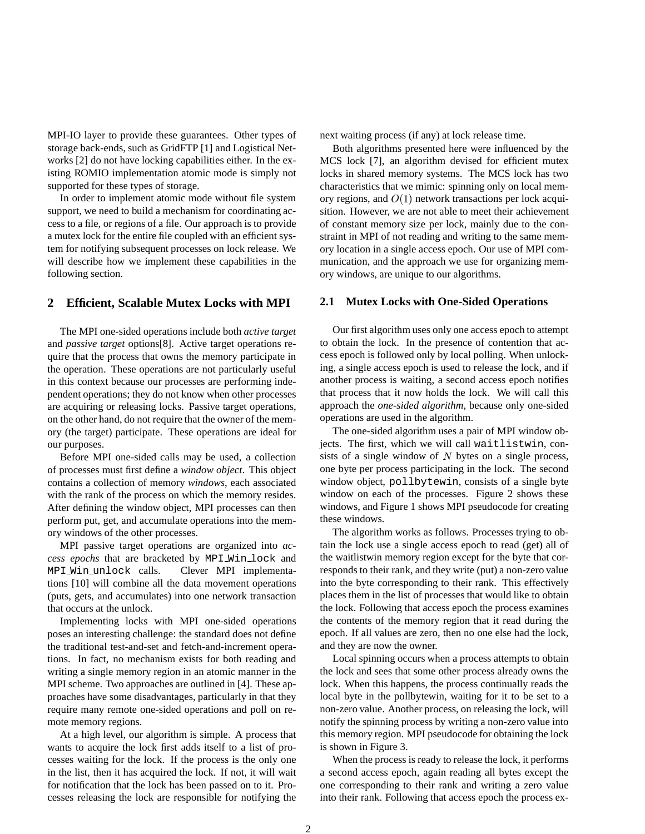MPI-IO layer to provide these guarantees. Other types of storage back-ends, such as GridFTP [1] and Logistical Networks [2] do not have locking capabilities either. In the existing ROMIO implementation atomic mode is simply not supported for these types of storage.

In order to implement atomic mode without file system support, we need to build a mechanism for coordinating access to a file, or regions of a file. Our approach is to provide a mutex lock for the entire file coupled with an efficient system for notifying subsequent processes on lock release. We will describe how we implement these capabilities in the following section.

### **2 Efficient, Scalable Mutex Locks with MPI**

The MPI one-sided operations include both *active target* and *passive target* options[8]. Active target operations require that the process that owns the memory participate in the operation. These operations are not particularly useful in this context because our processes are performing independent operations; they do not know when other processes are acquiring or releasing locks. Passive target operations, on the other hand, do not require that the owner of the memory (the target) participate. These operations are ideal for our purposes.

Before MPI one-sided calls may be used, a collection of processes must first define a *window object*. This object contains a collection of memory *windows*, each associated with the rank of the process on which the memory resides. After defining the window object, MPI processes can then perform put, get, and accumulate operations into the memory windows of the other processes.

MPI passive target operations are organized into *access epochs* that are bracketed by MPI Win lock and MPI Win unlock calls. Clever MPI implementations [10] will combine all the data movement operations (puts, gets, and accumulates) into one network transaction that occurs at the unlock.

Implementing locks with MPI one-sided operations poses an interesting challenge: the standard does not define the traditional test-and-set and fetch-and-increment operations. In fact, no mechanism exists for both reading and writing a single memory region in an atomic manner in the MPI scheme. Two approaches are outlined in [4]. These approaches have some disadvantages, particularly in that they require many remote one-sided operations and poll on remote memory regions.

At a high level, our algorithm is simple. A process that wants to acquire the lock first adds itself to a list of processes waiting for the lock. If the process is the only one in the list, then it has acquired the lock. If not, it will wait for notification that the lock has been passed on to it. Processes releasing the lock are responsible for notifying the next waiting process (if any) at lock release time.

Both algorithms presented here were influenced by the MCS lock [7], an algorithm devised for efficient mutex locks in shared memory systems. The MCS lock has two characteristics that we mimic: spinning only on local memory regions, and  $O(1)$  network transactions per lock acquisition. However, we are not able to meet their achievement of constant memory size per lock, mainly due to the constraint in MPI of not reading and writing to the same memory location in a single access epoch. Our use of MPI communication, and the approach we use for organizing memory windows, are unique to our algorithms.

#### **2.1 Mutex Locks with One-Sided Operations**

Our first algorithm uses only one access epoch to attempt to obtain the lock. In the presence of contention that access epoch is followed only by local polling. When unlocking, a single access epoch is used to release the lock, and if another process is waiting, a second access epoch notifies that process that it now holds the lock. We will call this approach the *one-sided algorithm*, because only one-sided operations are used in the algorithm.

The one-sided algorithm uses a pair of MPI window objects. The first, which we will call waitlistwin, consists of a single window of  $N$  bytes on a single process, one byte per process participating in the lock. The second window object, pollbytewin, consists of a single byte window on each of the processes. Figure 2 shows these windows, and Figure 1 shows MPI pseudocode for creating these windows.

The algorithm works as follows. Processes trying to obtain the lock use a single access epoch to read (get) all of the waitlistwin memory region except for the byte that corresponds to their rank, and they write (put) a non-zero value into the byte corresponding to their rank. This effectively places them in the list of processes that would like to obtain the lock. Following that access epoch the process examines the contents of the memory region that it read during the epoch. If all values are zero, then no one else had the lock, and they are now the owner.

Local spinning occurs when a process attempts to obtain the lock and sees that some other process already owns the lock. When this happens, the process continually reads the local byte in the pollbytewin, waiting for it to be set to a non-zero value. Another process, on releasing the lock, will notify the spinning process by writing a non-zero value into this memory region. MPI pseudocode for obtaining the lock is shown in Figure 3.

When the process is ready to release the lock, it performs a second access epoch, again reading all bytes except the one corresponding to their rank and writing a zero value into their rank. Following that access epoch the process ex-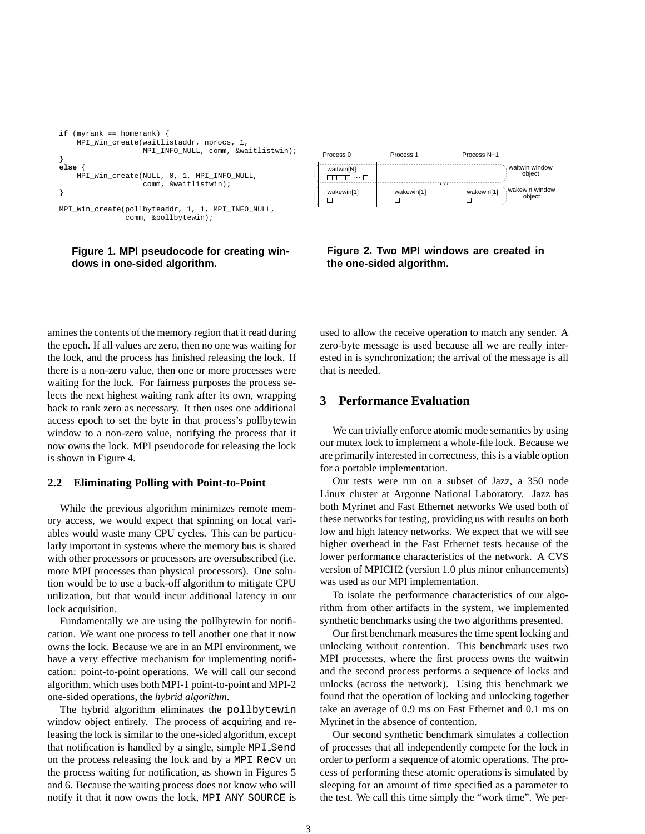```
if (myrank == homerank) {
    MPI_Win_create(waitlistaddr, nprocs, 1,
                   MPI_INFO_NULL, comm, &waitlistwin);
}
else {
   MPI_Win_create(NULL, 0, 1, MPI_INFO_NULL,
                   comm, &waitlistwin);
}
MPI_Win_create(pollbyteaddr, 1, 1, MPI_INFO_NULL,
               comm, &pollbytewin);
```
### **Figure 1. MPI pseudocode for creating windows in one-sided algorithm.**

amines the contents of the memory region that it read during the epoch. If all values are zero, then no one was waiting for the lock, and the process has finished releasing the lock. If there is a non-zero value, then one or more processes were waiting for the lock. For fairness purposes the process selects the next highest waiting rank after its own, wrapping back to rank zero as necessary. It then uses one additional access epoch to set the byte in that process's pollbytewin window to a non-zero value, notifying the process that it now owns the lock. MPI pseudocode for releasing the lock is shown in Figure 4.

#### **2.2 Eliminating Polling with Point-to-Point**

While the previous algorithm minimizes remote memory access, we would expect that spinning on local variables would waste many CPU cycles. This can be particularly important in systems where the memory bus is shared with other processors or processors are oversubscribed (i.e. more MPI processes than physical processors). One solution would be to use a back-off algorithm to mitigate CPU utilization, but that would incur additional latency in our lock acquisition.

Fundamentally we are using the pollbytewin for notification. We want one process to tell another one that it now owns the lock. Because we are in an MPI environment, we have a very effective mechanism for implementing notification: point-to-point operations. We will call our second algorithm, which uses both MPI-1 point-to-point and MPI-2 one-sided operations, the *hybrid algorithm*.

The hybrid algorithm eliminates the pollbytewin window object entirely. The process of acquiring and releasing the lock is similar to the one-sided algorithm, except that notification is handled by a single, simple MPI Send on the process releasing the lock and by a MPI Recv on the process waiting for notification, as shown in Figures 5 and 6. Because the waiting process does not know who will notify it that it now owns the lock, MPI ANY SOURCE is



**Figure 2. Two MPI windows are created in the one-sided algorithm.**

used to allow the receive operation to match any sender. A zero-byte message is used because all we are really interested in is synchronization; the arrival of the message is all that is needed.

# **3 Performance Evaluation**

We can trivially enforce atomic mode semantics by using our mutex lock to implement a whole-file lock. Because we are primarily interested in correctness, this is a viable option for a portable implementation.

Our tests were run on a subset of Jazz, a 350 node Linux cluster at Argonne National Laboratory. Jazz has both Myrinet and Fast Ethernet networks We used both of these networks for testing, providing us with results on both low and high latency networks. We expect that we will see higher overhead in the Fast Ethernet tests because of the lower performance characteristics of the network. A CVS version of MPICH2 (version 1.0 plus minor enhancements) was used as our MPI implementation.

To isolate the performance characteristics of our algorithm from other artifacts in the system, we implemented synthetic benchmarks using the two algorithms presented.

Our first benchmark measures the time spent locking and unlocking without contention. This benchmark uses two MPI processes, where the first process owns the waitwin and the second process performs a sequence of locks and unlocks (across the network). Using this benchmark we found that the operation of locking and unlocking together take an average of 0.9 ms on Fast Ethernet and 0.1 ms on Myrinet in the absence of contention.

Our second synthetic benchmark simulates a collection of processes that all independently compete for the lock in order to perform a sequence of atomic operations. The process of performing these atomic operations is simulated by sleeping for an amount of time specified as a parameter to the test. We call this time simply the "work time". We per-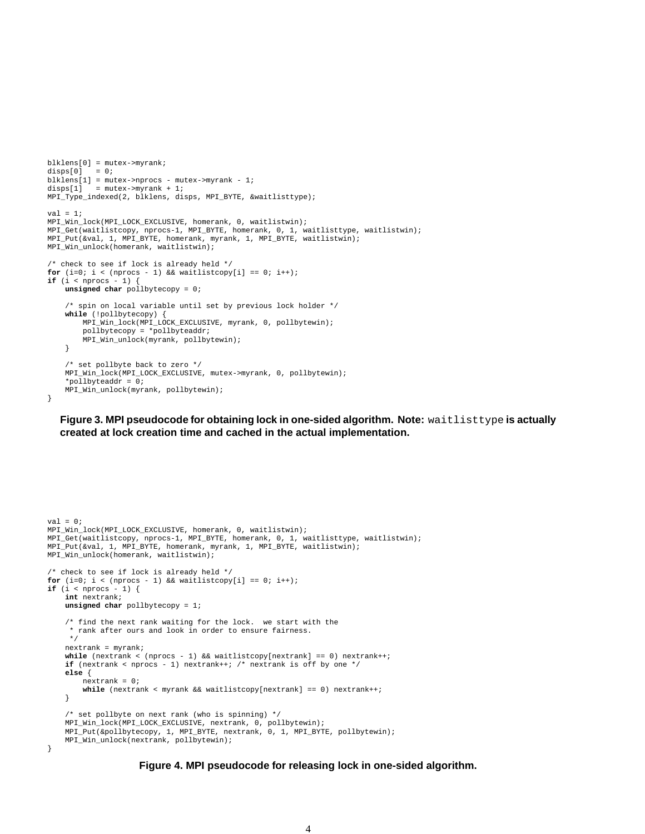```
blklens[0] = mutex->myrank;<br>disps[0] = 0;
disps[0] = 0;
blklens[1] = mutex->nprocs - mutex->myrank - 1;<br>disps[1] = mutex->myrank + 1;
           = muex->myrank + 1;
MPI_Type_indexed(2, blklens, disps, MPI_BYTE, &waitlisttype);
val = 1MPI_Win_lock(MPI_LOCK_EXCLUSIVE, homerank, 0, waitlistwin);
MPI_Get(waitlistcopy, nprocs-1, MPI_BYTE, homerank, 0, 1, waitlisttype, waitlistwin);
MPI_Put(&val, 1, MPI_BYTE, homerank, myrank, 1, MPI_BYTE, waitlistwin);
MPI_Win_unlock(homerank, waitlistwin);
/* check to see if lock is already held */
for (i=0; i < (nprocs - 1) & waitlistcopy(i) == 0; i++);
if (i \lt p \text{process} - 1) {
    unsigned char pollbytecopy = 0;
    /* spin on local variable until set by previous lock holder */
    while (!pollbytecopy) {
        MPI_Win_lock(MPI_LOCK_EXCLUSIVE, myrank, 0, pollbytewin);
        pollbytecopy = *pollbyteaddr;
        MPI_Win_unlock(myrank, pollbytewin);
    }
    /* set pollbyte back to zero */
    MPI_Win_lock(MPI_LOCK_EXCLUSIVE, mutex->myrank, 0, pollbytewin);
    *pollbyteaddr = 0;MPI_Win_unlock(myrank, pollbytewin);
}
```
**Figure 3. MPI pseudocode for obtaining lock in one-sided algorithm. Note:** waitlisttype **is actually created at lock creation time and cached in the actual implementation.**

```
val = 0;
MPI_Win_lock(MPI_LOCK_EXCLUSIVE, homerank, 0, waitlistwin);
MPI_Get(waitlistcopy, nprocs-1, MPI_BYTE, homerank, 0, 1, waitlisttype, waitlistwin);
MPI_Put(&val, 1, MPI_BYTE, homerank, myrank, 1, MPI_BYTE, waitlistwin);
MPI_Win_unlock(homerank, waitlistwin);
/* check to see if lock is already held */
for (i=0; i < (nprocs - 1) & waitlistcopy(i) == 0; i++);
if (i < nprocs - 1) {
    int nextrank;
    unsigned char pollbytecopy = 1;
    /* find the next rank waiting for the lock. we start with the
     * rank after ours and look in order to ensure fairness.
     */
    nextrank = myrank;
    while (nextrank < (nprocs - 1) && waitlistcopy[nextrank] == 0) nextrank++;
    if (nextrank < nprocs - 1) nextrank++; /* nextrank is off by one */else {
       nextrank = 0;
        while (nextrank < myrank && waitlistcopy[nextrank] == 0) nextrank++;
    }
    /* set pollbyte on next rank (who is spinning) */
    MPI_Win_lock(MPI_LOCK_EXCLUSIVE, nextrank, 0, pollbytewin);
    MPI_Put(&pollbytecopy, 1, MPI_BYTE, nextrank, 0, 1, MPI_BYTE, pollbytewin);
    MPI_Win_unlock(nextrank, pollbytewin);
}
```
**Figure 4. MPI pseudocode for releasing lock in one-sided algorithm.**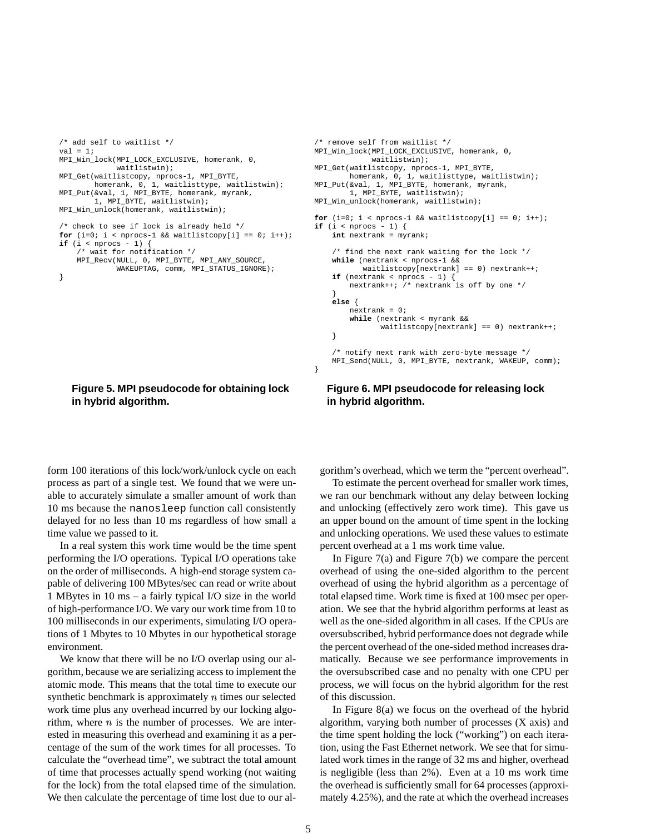```
/* add self to waitlist */
val = 1;
MPI_Win_lock(MPI_LOCK_EXCLUSIVE, homerank, 0,
             waitlistwin);
MPI_Get(waitlistcopy, nprocs-1, MPI_BYTE,
        homerank, 0, 1, waitlisttype, waitlistwin);
MPI_Put(&val, 1, MPI_BYTE, homerank, myrank,
        1, MPI_BYTE, waitlistwin);
MPI_Win_unlock(homerank, waitlistwin);
/* check to see if lock is already held */
for (i=0; i < nprocs-1 && waitlistcopy[i] == 0; i++);
if (i < nprocs - 1) {
    /* wait for notification */
    MPI_Recv(NULL, 0, MPI_BYTE, MPI_ANY_SOURCE,
             WAKEUPTAG, comm, MPI_STATUS_IGNORE);
```
}

```
Figure 5. MPI pseudocode for obtaining lock
in hybrid algorithm.
```
MPI\_Win\_lock(MPI\_LOCK\_EXCLUSIVE, homerank, 0, waitlistwin); MPI\_Get(waitlistcopy, nprocs-1, MPI\_BYTE, homerank, 0, 1, waitlisttype, waitlistwin); MPI\_Put(&val, 1, MPI\_BYTE, homerank, myrank, 1, MPI\_BYTE, waitlistwin); MPI\_Win\_unlock(homerank, waitlistwin); **for**  $(i=0; i \le n$  procs-1 & waitlistcopy $[i] == 0; i++)$ ; **if**  $(i \lt p$   $\lt$   $(n)$   $($ **int** nextrank = myrank; /\* find the next rank waiting for the lock \*/ **while** (nextrank < nprocs-1 && waitlistcopy[nextrank] == 0) nextrank++; **if** (nextrank < nprocs - 1) { nextrank++; /\* nextrank is off by one \*/ } **else** {  $nextrank = 0;$ **while** (nextrank < myrank && waitlistcopy[nextrank] == 0) nextrank++; } /\* notify next rank with zero-byte message \*/ MPI\_Send(NULL, 0, MPI\_BYTE, nextrank, WAKEUP, comm); }

/\* remove self from waitlist \*/

**Figure 6. MPI pseudocode for releasing lock in hybrid algorithm.**

form 100 iterations of this lock/work/unlock cycle on each process as part of a single test. We found that we were unable to accurately simulate a smaller amount of work than 10 ms because the nanosleep function call consistently delayed for no less than 10 ms regardless of how small a time value we passed to it.

In a real system this work time would be the time spent performing the I/O operations. Typical I/O operations take on the order of milliseconds. A high-end storage system capable of delivering 100 MBytes/sec can read or write about 1 MBytes in 10 ms – a fairly typical I/O size in the world of high-performance I/O. We vary our work time from 10 to 100 milliseconds in our experiments, simulating I/O operations of 1 Mbytes to 10 Mbytes in our hypothetical storage environment.

We know that there will be no I/O overlap using our algorithm, because we are serializing access to implement the atomic mode. This means that the total time to execute our synthetic benchmark is approximately  $n$  times our selected work time plus any overhead incurred by our locking algorithm, where  $n$  is the number of processes. We are interested in measuring this overhead and examining it as a percentage of the sum of the work times for all processes. To calculate the "overhead time", we subtract the total amount of time that processes actually spend working (not waiting for the lock) from the total elapsed time of the simulation. We then calculate the percentage of time lost due to our algorithm's overhead, which we term the "percent overhead".

To estimate the percent overhead for smaller work times, we ran our benchmark without any delay between locking and unlocking (effectively zero work time). This gave us an upper bound on the amount of time spent in the locking and unlocking operations. We used these values to estimate percent overhead at a 1 ms work time value.

In Figure 7(a) and Figure 7(b) we compare the percent overhead of using the one-sided algorithm to the percent overhead of using the hybrid algorithm as a percentage of total elapsed time. Work time is fixed at 100 msec per operation. We see that the hybrid algorithm performs at least as well as the one-sided algorithm in all cases. If the CPUs are oversubscribed, hybrid performance does not degrade while the percent overhead of the one-sided method increases dramatically. Because we see performance improvements in the oversubscribed case and no penalty with one CPU per process, we will focus on the hybrid algorithm for the rest of this discussion.

In Figure 8(a) we focus on the overhead of the hybrid algorithm, varying both number of processes (X axis) and the time spent holding the lock ("working") on each iteration, using the Fast Ethernet network. We see that for simulated work times in the range of 32 ms and higher, overhead is negligible (less than 2%). Even at a 10 ms work time the overhead is sufficiently small for 64 processes (approximately 4.25%), and the rate at which the overhead increases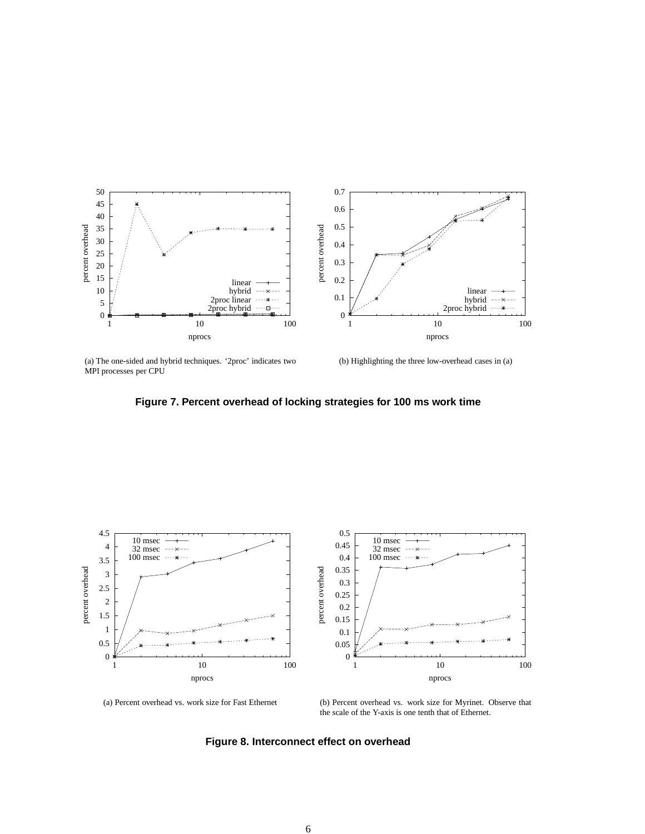

(a) The one-sided and hybrid techniques. '2proc' indicates two MPI processes per CPU

(b) Highlighting the three low-overhead cases in (a)





(a) Percent overhead vs. work size for Fast Ethernet

(b) Percent overhead vs. work size for Myrinet. Observe that the scale of the Y-axis is one tenth that of Ethernet.

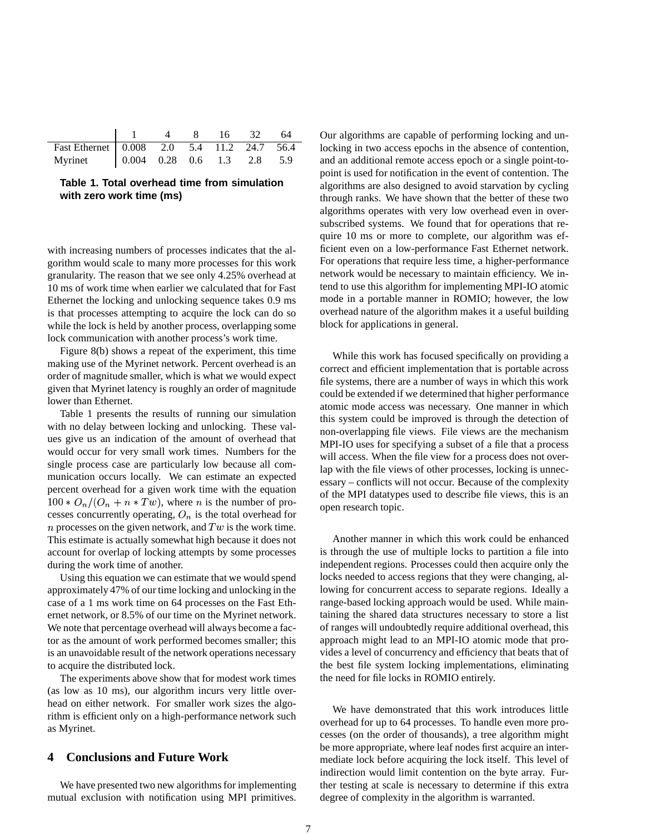|                                              |  | 816 | 32 | -64 |
|----------------------------------------------|--|-----|----|-----|
| Fast Ethernet   0.008 2.0 5.4 11.2 24.7 56.4 |  |     |    |     |
| Myrinet 0.004 0.28 0.6 1.3 2.8 5.9           |  |     |    |     |

**Table 1. Total overhead time from simulation with zero work time (ms)**

with increasing numbers of processes indicates that the algorithm would scale to many more processes for this work granularity. The reason that we see only 4.25% overhead at 10 ms of work time when earlier we calculated that for Fast Ethernet the locking and unlocking sequence takes 0.9 ms is that processes attempting to acquire the lock can do so while the lock is held by another process, overlapping some lock communication with another process's work time.

Figure 8(b) shows a repeat of the experiment, this time making use of the Myrinet network. Percent overhead is an order of magnitude smaller, which is what we would expect given that Myrinet latency is roughly an order of magnitude lower than Ethernet.

Table 1 presents the results of running our simulation with no delay between locking and unlocking. These values give us an indication of the amount of overhead that would occur for very small work times. Numbers for the single process case are particularly low because all communication occurs locally. We can estimate an expected percent overhead for a given work time with the equation  $100 * O_n/(O_n + n * Tw)$ , where *n* is the number of processes concurrently operating,  $O_n$  is the total overhead for *n* processes on the given network, and  $Tw$  is the work time. This estimate is actually somewhat high because it does not account for overlap of locking attempts by some processes during the work time of another.

Using this equation we can estimate that we would spend approximately 47% of our time locking and unlocking in the case of a 1 ms work time on 64 processes on the Fast Ethernet network, or 8.5% of our time on the Myrinet network. We note that percentage overhead will always become a factor as the amount of work performed becomes smaller; this is an unavoidable result of the network operations necessary to acquire the distributed lock.

The experiments above show that for modest work times (as low as 10 ms), our algorithm incurs very little overhead on either network. For smaller work sizes the algorithm is efficient only on a high-performance network such as Myrinet.

# **4 Conclusions and Future Work**

We have presented two new algorithms for implementing mutual exclusion with notification using MPI primitives. Our algorithms are capable of performing locking and unlocking in two access epochs in the absence of contention, and an additional remote access epoch or a single point-topoint is used for notification in the event of contention. The algorithms are also designed to avoid starvation by cycling through ranks. We have shown that the better of these two algorithms operates with very low overhead even in oversubscribed systems. We found that for operations that require 10 ms or more to complete, our algorithm was efficient even on a low-performance Fast Ethernet network. For operations that require less time, a higher-performance network would be necessary to maintain efficiency. We intend to use this algorithm for implementing MPI-IO atomic mode in a portable manner in ROMIO; however, the low overhead nature of the algorithm makes it a useful building block for applications in general.

While this work has focused specifically on providing a correct and efficient implementation that is portable across file systems, there are a number of ways in which this work could be extended if we determined that higher performance atomic mode access was necessary. One manner in which this system could be improved is through the detection of non-overlapping file views. File views are the mechanism MPI-IO uses for specifying a subset of a file that a process will access. When the file view for a process does not overlap with the file views of other processes, locking is unnecessary – conflicts will not occur. Because of the complexity of the MPI datatypes used to describe file views, this is an open research topic.

Another manner in which this work could be enhanced is through the use of multiple locks to partition a file into independent regions. Processes could then acquire only the locks needed to access regions that they were changing, allowing for concurrent access to separate regions. Ideally a range-based locking approach would be used. While maintaining the shared data structures necessary to store a list of ranges will undoubtedly require additional overhead, this approach might lead to an MPI-IO atomic mode that provides a level of concurrency and efficiency that beats that of the best file system locking implementations, eliminating the need for file locks in ROMIO entirely.

We have demonstrated that this work introduces little overhead for up to 64 processes. To handle even more processes (on the order of thousands), a tree algorithm might be more appropriate, where leaf nodes first acquire an intermediate lock before acquiring the lock itself. This level of indirection would limit contention on the byte array. Further testing at scale is necessary to determine if this extra degree of complexity in the algorithm is warranted.